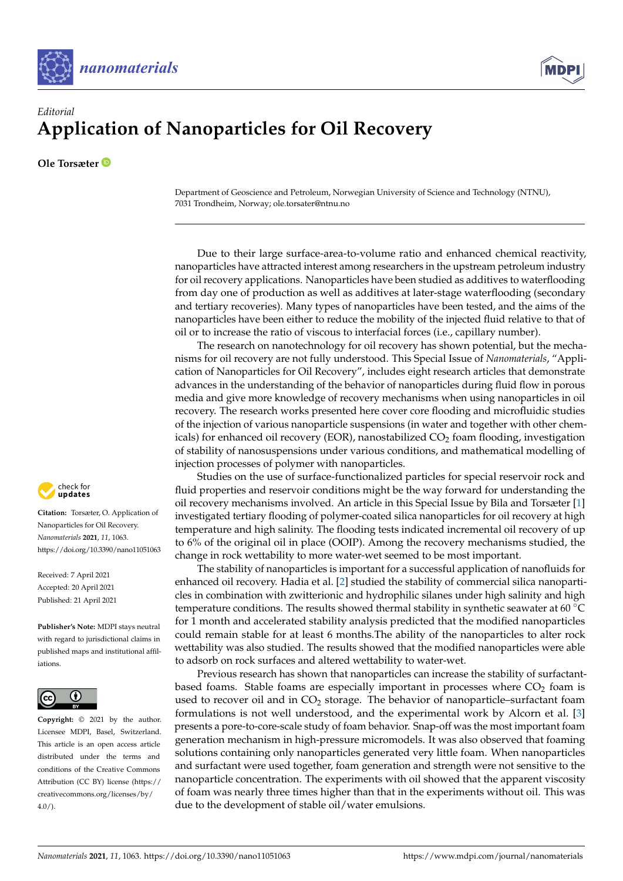



## *Editorial* **Application of Nanoparticles for Oil Recovery**

**Ole Torsæter**

Department of Geoscience and Petroleum, Norwegian University of Science and Technology (NTNU), 7031 Trondheim, Norway; ole.torsater@ntnu.no

Due to their large surface-area-to-volume ratio and enhanced chemical reactivity, nanoparticles have attracted interest among researchers in the upstream petroleum industry for oil recovery applications. Nanoparticles have been studied as additives to waterflooding from day one of production as well as additives at later-stage waterflooding (secondary and tertiary recoveries). Many types of nanoparticles have been tested, and the aims of the nanoparticles have been either to reduce the mobility of the injected fluid relative to that of oil or to increase the ratio of viscous to interfacial forces (i.e., capillary number).

The research on nanotechnology for oil recovery has shown potential, but the mechanisms for oil recovery are not fully understood. This Special Issue of *Nanomaterials*, "Application of Nanoparticles for Oil Recovery", includes eight research articles that demonstrate advances in the understanding of the behavior of nanoparticles during fluid flow in porous media and give more knowledge of recovery mechanisms when using nanoparticles in oil recovery. The research works presented here cover core flooding and microfluidic studies of the injection of various nanoparticle suspensions (in water and together with other chemicals) for enhanced oil recovery (EOR), nanostabilized  $CO<sub>2</sub>$  foam flooding, investigation of stability of nanosuspensions under various conditions, and mathematical modelling of injection processes of polymer with nanoparticles.

Studies on the use of surface-functionalized particles for special reservoir rock and fluid properties and reservoir conditions might be the way forward for understanding the oil recovery mechanisms involved. An article in this Special Issue by Bila and Torsæter [\[1\]](#page-2-0) investigated tertiary flooding of polymer-coated silica nanoparticles for oil recovery at high temperature and high salinity. The flooding tests indicated incremental oil recovery of up to 6% of the original oil in place (OOIP). Among the recovery mechanisms studied, the change in rock wettability to more water-wet seemed to be most important.

The stability of nanoparticles is important for a successful application of nanofluids for enhanced oil recovery. Hadia et al. [\[2\]](#page-2-1) studied the stability of commercial silica nanoparticles in combination with zwitterionic and hydrophilic silanes under high salinity and high temperature conditions. The results showed thermal stability in synthetic seawater at 60 ◦C for 1 month and accelerated stability analysis predicted that the modified nanoparticles could remain stable for at least 6 months.The ability of the nanoparticles to alter rock wettability was also studied. The results showed that the modified nanoparticles were able to adsorb on rock surfaces and altered wettability to water-wet.

Previous research has shown that nanoparticles can increase the stability of surfactantbased foams. Stable foams are especially important in processes where  $CO<sub>2</sub>$  foam is used to recover oil and in  $CO<sub>2</sub>$  storage. The behavior of nanoparticle–surfactant foam formulations is not well understood, and the experimental work by Alcorn et al. [\[3\]](#page-2-2) presents a pore-to-core-scale study of foam behavior. Snap-off was the most important foam generation mechanism in high-pressure micromodels. It was also observed that foaming solutions containing only nanoparticles generated very little foam. When nanoparticles and surfactant were used together, foam generation and strength were not sensitive to the nanoparticle concentration. The experiments with oil showed that the apparent viscosity of foam was nearly three times higher than that in the experiments without oil. This was due to the development of stable oil/water emulsions.



**Citation:** Torsæter, O. Application of Nanoparticles for Oil Recovery. *Nanomaterials* **2021**, *11*, 1063. <https://doi.org/10.3390/nano11051063>

Received: 7 April 2021 Accepted: 20 April 2021 Published: 21 April 2021

**Publisher's Note:** MDPI stays neutral with regard to jurisdictional claims in published maps and institutional affiliations.



**Copyright:** © 2021 by the author. Licensee MDPI, Basel, Switzerland. This article is an open access article distributed under the terms and conditions of the Creative Commons Attribution (CC BY) license (https:/[/](https://creativecommons.org/licenses/by/4.0/) [creativecommons.org/licenses/by/](https://creativecommons.org/licenses/by/4.0/)  $4.0/$ ).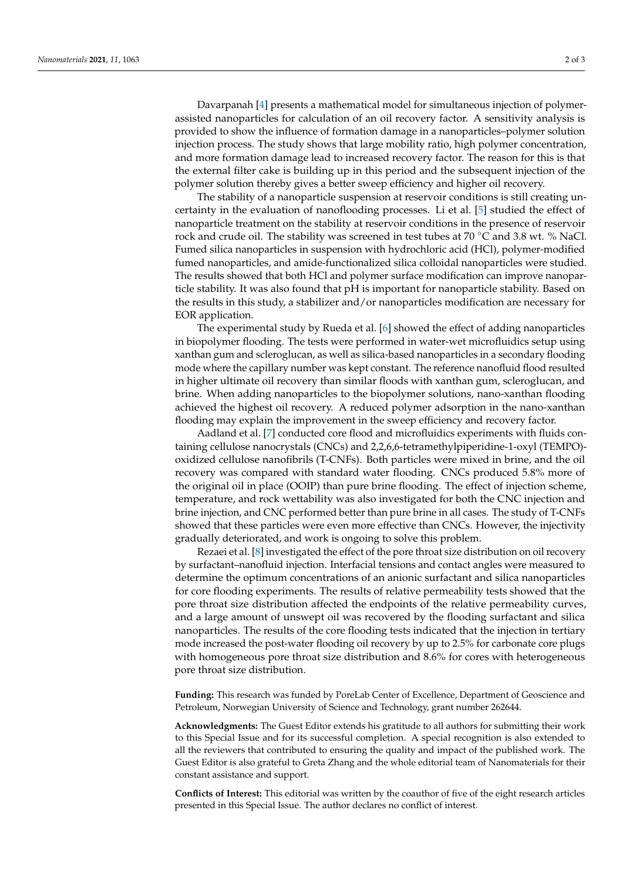Davarpanah [\[4\]](#page-2-3) presents a mathematical model for simultaneous injection of polymerassisted nanoparticles for calculation of an oil recovery factor. A sensitivity analysis is provided to show the influence of formation damage in a nanoparticles–polymer solution injection process. The study shows that large mobility ratio, high polymer concentration, and more formation damage lead to increased recovery factor. The reason for this is that the external filter cake is building up in this period and the subsequent injection of the polymer solution thereby gives a better sweep efficiency and higher oil recovery.

The stability of a nanoparticle suspension at reservoir conditions is still creating uncertainty in the evaluation of nanoflooding processes. Li et al. [\[5\]](#page-2-4) studied the effect of nanoparticle treatment on the stability at reservoir conditions in the presence of reservoir rock and crude oil. The stability was screened in test tubes at 70 ◦C and 3.8 wt. % NaCl. Fumed silica nanoparticles in suspension with hydrochloric acid (HCl), polymer-modified fumed nanoparticles, and amide-functionalized silica colloidal nanoparticles were studied. The results showed that both HCl and polymer surface modification can improve nanoparticle stability. It was also found that pH is important for nanoparticle stability. Based on the results in this study, a stabilizer and/or nanoparticles modification are necessary for EOR application.

The experimental study by Rueda et al. [\[6\]](#page-2-5) showed the effect of adding nanoparticles in biopolymer flooding. The tests were performed in water-wet microfluidics setup using xanthan gum and scleroglucan, as well as silica-based nanoparticles in a secondary flooding mode where the capillary number was kept constant. The reference nanofluid flood resulted in higher ultimate oil recovery than similar floods with xanthan gum, scleroglucan, and brine. When adding nanoparticles to the biopolymer solutions, nano-xanthan flooding achieved the highest oil recovery. A reduced polymer adsorption in the nano-xanthan flooding may explain the improvement in the sweep efficiency and recovery factor.

Aadland et al. [\[7\]](#page-2-6) conducted core flood and microfluidics experiments with fluids containing cellulose nanocrystals (CNCs) and 2,2,6,6-tetramethylpiperidine-1-oxyl (TEMPO) oxidized cellulose nanofibrils (T-CNFs). Both particles were mixed in brine, and the oil recovery was compared with standard water flooding. CNCs produced 5.8% more of the original oil in place (OOIP) than pure brine flooding. The effect of injection scheme, temperature, and rock wettability was also investigated for both the CNC injection and brine injection, and CNC performed better than pure brine in all cases. The study of T-CNFs showed that these particles were even more effective than CNCs. However, the injectivity gradually deteriorated, and work is ongoing to solve this problem.

Rezaei et al. [\[8\]](#page-2-7) investigated the effect of the pore throat size distribution on oil recovery by surfactant–nanofluid injection. Interfacial tensions and contact angles were measured to determine the optimum concentrations of an anionic surfactant and silica nanoparticles for core flooding experiments. The results of relative permeability tests showed that the pore throat size distribution affected the endpoints of the relative permeability curves, and a large amount of unswept oil was recovered by the flooding surfactant and silica nanoparticles. The results of the core flooding tests indicated that the injection in tertiary mode increased the post-water flooding oil recovery by up to 2.5% for carbonate core plugs with homogeneous pore throat size distribution and 8.6% for cores with heterogeneous pore throat size distribution.

**Funding:** This research was funded by PoreLab Center of Excellence, Department of Geoscience and Petroleum, Norwegian University of Science and Technology, grant number 262644.

**Acknowledgments:** The Guest Editor extends his gratitude to all authors for submitting their work to this Special Issue and for its successful completion. A special recognition is also extended to all the reviewers that contributed to ensuring the quality and impact of the published work. The Guest Editor is also grateful to Greta Zhang and the whole editorial team of Nanomaterials for their constant assistance and support.

**Conflicts of Interest:** This editorial was written by the coauthor of five of the eight research articles presented in this Special Issue. The author declares no conflict of interest.